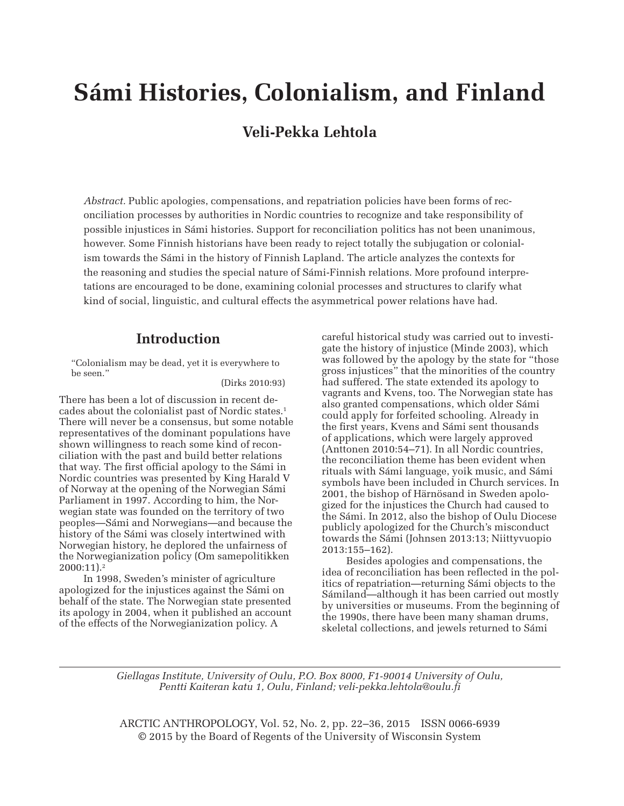# **Sámi Histories, Colonialism, and Finland**

# **Veli-Pekka Lehtola**

*Abstract.* Public apologies, compensations, and repatriation policies have been forms of reconciliation processes by authorities in Nordic countries to recognize and take responsibility of possible injustices in Sámi histories. Support for reconciliation politics has not been unanimous, however. Some Finnish historians have been ready to reject totally the subjugation or colonialism towards the Sámi in the history of Finnish Lapland. The article analyzes the contexts for the reasoning and studies the special nature of Sámi-Finnish relations. More profound interpretations are encouraged to be done, examining colonial processes and structures to clarify what kind of social, linguistic, and cultural effects the asymmetrical power relations have had.

# **Introduction**

"Colonialism may be dead, yet it is everywhere to be seen."

(Dirks 2010:93)

There has been a lot of discussion in recent decades about the colonialist past of Nordic states.1 There will never be a consensus, but some notable representatives of the dominant populations have shown willingness to reach some kind of reconciliation with the past and build better relations that way. The first official apology to the Sámi in Nordic countries was presented by King Harald V of Norway at the opening of the Norwegian Sámi Parliament in 1997. According to him, the Norwegian state was founded on the territory of two peoples—Sámi and Norwegians—and because the history of the Sámi was closely intertwined with Norwegian history, he deplored the unfairness of the Norwegianization policy (Om samepolitikken 2000:11).2

In 1998, Sweden's minister of agriculture apologized for the injustices against the Sámi on behalf of the state. The Norwegian state presented its apology in 2004, when it published an account of the effects of the Norwegianization policy. A

careful historical study was carried out to investigate the history of injustice (Minde 2003), which was followed by the apology by the state for "those gross injustices" that the minorities of the country had suffered. The state extended its apology to vagrants and Kvens, too. The Norwegian state has also granted compensations, which older Sámi could apply for forfeited schooling. Already in the first years, Kvens and Sámi sent thousands of applications, which were largely approved (Anttonen 2010:54–71). In all Nordic countries, the reconciliation theme has been evident when rituals with Sámi language, yoik music, and Sámi symbols have been included in Church services. In 2001, the bishop of Härnösand in Sweden apologized for the injustices the Church had caused to the Sámi. In 2012, also the bishop of Oulu Diocese publicly apologized for the Church's misconduct towards the Sámi (Johnsen 2013:13; Niittyvuopio 2013:155–162).

Besides apologies and compensations, the idea of reconciliation has been reflected in the politics of repatriation—returning Sámi objects to the Sámiland—although it has been carried out mostly by universities or museums. From the beginning of the 1990s, there have been many shaman drums, skeletal collections, and jewels returned to Sámi

*Giellagas Institute, University of Oulu, P.O. Box 8000, F1‑90014 University of Oulu, Pentti Kaiteran katu 1, Oulu, Finland; veli-pekka.lehtola@oulu.fi*

ARCTIC ANTHROPOLOGY, Vol. 52, No. 2, pp. 22–36, 2015 ISSN 0066-6939 © 2015 by the Board of Regents of the University of Wisconsin System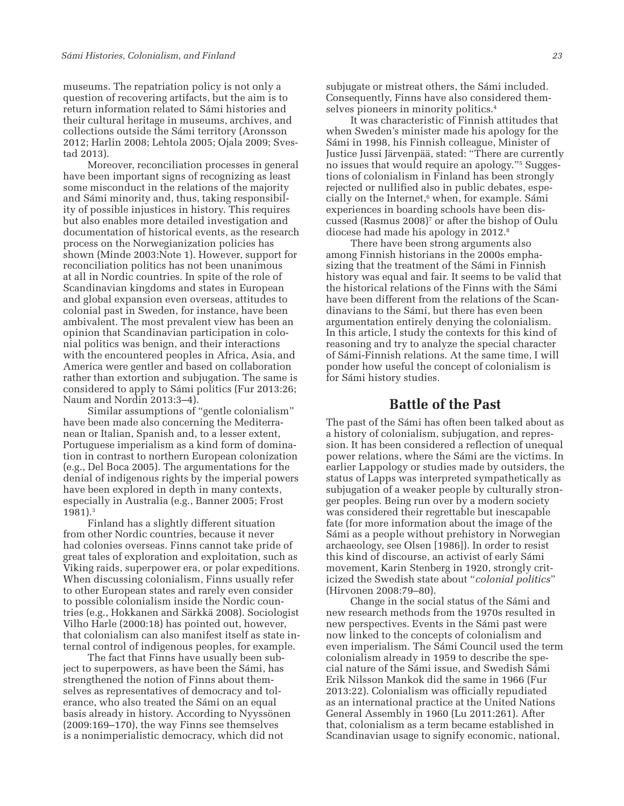museums. The repatriation policy is not only a question of recovering artifacts, but the aim is to return information related to Sámi histories and their cultural heritage in museums, archives, and collections outside the Sámi territory (Aronsson 2012; Harlin 2008; Lehtola 2005; Ojala 2009; Svestad 2013).

Moreover, reconciliation processes in general have been important signs of recognizing as least some misconduct in the relations of the majority and Sámi minority and, thus, taking responsibility of possible injustices in history. This requires but also enables more detailed investigation and documentation of historical events, as the research process on the Norwegianization policies has shown (Minde 2003:Note 1). However, support for reconciliation politics has not been unanimous at all in Nordic countries. In spite of the role of Scandinavian kingdoms and states in European and global expansion even overseas, attitudes to colonial past in Sweden, for instance, have been ambivalent. The most prevalent view has been an opinion that Scandinavian participation in colonial politics was benign, and their interactions with the encountered peoples in Africa, Asia, and America were gentler and based on collaboration rather than extortion and subjugation. The same is considered to apply to Sámi politics (Fur 2013:26; Naum and Nordin 2013:3–4).

Similar assumptions of "gentle colonialism" have been made also concerning the Mediterranean or Italian, Spanish and, to a lesser extent, Portuguese imperialism as a kind form of domination in contrast to northern European colonization (e.g., Del Boca 2005). The argumentations for the denial of indigenous rights by the imperial powers have been explored in depth in many contexts, especially in Australia (e.g., Banner 2005; Frost 1981).3

Finland has a slightly different situation from other Nordic countries, because it never had colonies overseas. Finns cannot take pride of great tales of exploration and exploitation, such as Viking raids, superpower era, or polar expeditions. When discussing colonialism, Finns usually refer to other European states and rarely even consider to possible colonialism inside the Nordic countries (e.g., Hokkanen and Särkkä 2008). Sociologist Vilho Harle (2000:18) has pointed out, however, that colonialism can also manifest itself as state internal control of indigenous peoples, for example.

The fact that Finns have usually been subject to superpowers, as have been the Sámi, has strengthened the notion of Finns about themselves as representatives of democracy and tolerance, who also treated the Sámi on an equal basis already in history. According to Nyyssönen (2009:169–170), the way Finns see themselves is a nonimperialistic democracy, which did not

subjugate or mistreat others, the Sámi included. Consequently, Finns have also considered themselves pioneers in minority politics.4

It was characteristic of Finnish attitudes that when Sweden's minister made his apology for the Sámi in 1998, his Finnish colleague, Minister of Justice Jussi Järvenpää, stated: "There are currently no issues that would require an apology."5 Suggestions of colonialism in Finland has been strongly rejected or nullified also in public debates, especially on the Internet, $6$  when, for example. Sámi experiences in boarding schools have been discussed (Rasmus 2008)7 or after the bishop of Oulu diocese had made his apology in 2012.8

There have been strong arguments also among Finnish historians in the 2000s emphasizing that the treatment of the Sámi in Finnish history was equal and fair. It seems to be valid that the historical relations of the Finns with the Sámi have been different from the relations of the Scandinavians to the Sámi, but there has even been argumentation entirely denying the colonialism. In this article, I study the contexts for this kind of reasoning and try to analyze the special character of Sámi-Finnish relations. At the same time, I will ponder how useful the concept of colonialism is for Sámi history studies.

### **Battle of the Past**

The past of the Sámi has often been talked about as a history of colonialism, subjugation, and repression. It has been considered a reflection of unequal power relations, where the Sámi are the victims. In earlier Lappology or studies made by outsiders, the status of Lapps was interpreted sympathetically as subjugation of a weaker people by culturally stronger peoples. Being run over by a modern society was considered their regrettable but inescapable fate (for more information about the image of the Sámi as a people without prehistory in Norwegian archaeology, see Olsen [1986]). In order to resist this kind of discourse, an activist of early Sámi movement, Karin Stenberg in 1920, strongly criticized the Swedish state about "*colonial politics*" (Hirvonen 2008:79–80).

Change in the social status of the Sámi and new research methods from the 1970s resulted in new perspectives. Events in the Sámi past were now linked to the concepts of colonialism and even imperialism. The Sámi Council used the term colonialism already in 1959 to describe the special nature of the Sámi issue, and Swedish Sámi Erik Nilsson Mankok did the same in 1966 (Fur 2013:22). Colonialism was officially repudiated as an international practice at the United Nations General Assembly in 1960 (Lu 2011:261). After that, colonialism as a term became established in Scandinavian usage to signify economic, national,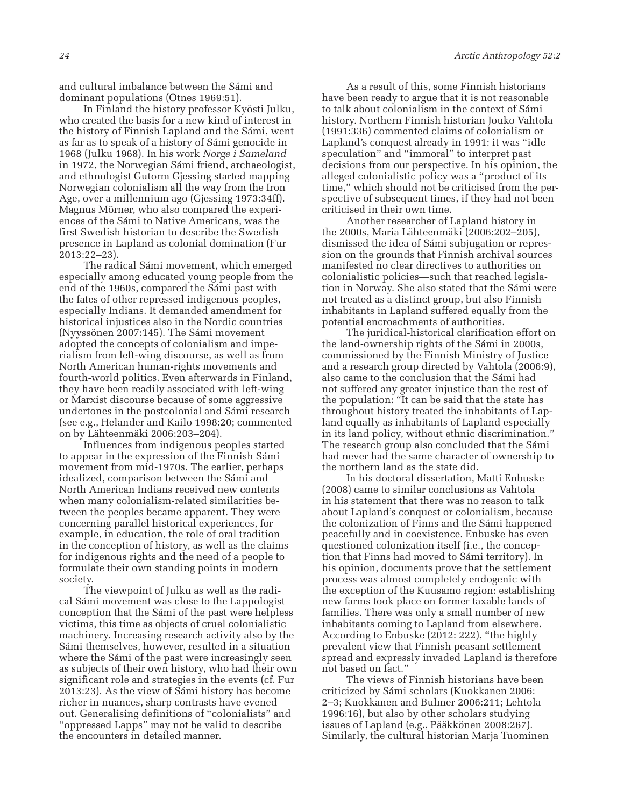and cultural imbalance between the Sámi and dominant populations (Otnes 1969:51).

In Finland the history professor Kyösti Julku, who created the basis for a new kind of interest in the history of Finnish Lapland and the Sámi, went as far as to speak of a history of Sámi genocide in 1968 (Julku 1968). In his work *Norge i Sameland* in 1972, the Norwegian Sámi friend, archaeologist, and ethnologist Gutorm Gjessing started mapping Norwegian colonialism all the way from the Iron Age, over a millennium ago (Gjessing 1973:34ff). Magnus Mörner, who also compared the experiences of the Sámi to Native Americans, was the first Swedish historian to describe the Swedish presence in Lapland as colonial domination (Fur 2013:22–23).

The radical Sámi movement, which emerged especially among educated young people from the end of the 1960s, compared the Sámi past with the fates of other repressed indigenous peoples, especially Indians. It demanded amendment for historical injustices also in the Nordic countries (Nyyssönen 2007:145). The Sámi movement adopted the concepts of colonialism and imperialism from left-wing discourse, as well as from North American human-rights movements and fourth-world politics. Even afterwards in Finland, they have been readily associated with left-wing or Marxist discourse because of some aggressive undertones in the postcolonial and Sámi research (see e.g., Helander and Kailo 1998:20; commented on by Lähteenmäki 2006:203–204).

Influences from indigenous peoples started to appear in the expression of the Finnish Sámi movement from mid-1970s. The earlier, perhaps idealized, comparison between the Sámi and North American Indians received new contents when many colonialism-related similarities between the peoples became apparent. They were concerning parallel historical experiences, for example, in education, the role of oral tradition in the conception of history, as well as the claims for indigenous rights and the need of a people to formulate their own standing points in modern society.

The viewpoint of Julku as well as the radical Sámi movement was close to the Lappologist conception that the Sámi of the past were helpless victims, this time as objects of cruel colonialistic machinery. Increasing research activity also by the Sámi themselves, however, resulted in a situation where the Sámi of the past were increasingly seen as subjects of their own history, who had their own significant role and strategies in the events (cf. Fur 2013:23). As the view of Sámi history has become richer in nuances, sharp contrasts have evened out. Generalising definitions of "colonialists" and "oppressed Lapps" may not be valid to describe the encounters in detailed manner.

As a result of this, some Finnish historians have been ready to argue that it is not reasonable to talk about colonialism in the context of Sámi history. Northern Finnish historian Jouko Vahtola (1991:336) commented claims of colonialism or Lapland's conquest already in 1991: it was "idle speculation" and "immoral" to interpret past decisions from our perspective. In his opinion, the alleged colonialistic policy was a "product of its time," which should not be criticised from the perspective of subsequent times, if they had not been criticised in their own time.

Another researcher of Lapland history in the 2000s, Maria Lähteenmäki (2006:202–205), dismissed the idea of Sámi subjugation or repression on the grounds that Finnish archival sources manifested no clear directives to authorities on colonialistic policies—such that reached legislation in Norway. She also stated that the Sámi were not treated as a distinct group, but also Finnish inhabitants in Lapland suffered equally from the potential encroachments of authorities.

The juridical-historical clarification effort on the land-ownership rights of the Sámi in 2000s, commissioned by the Finnish Ministry of Justice and a research group directed by Vahtola (2006:9), also came to the conclusion that the Sámi had not suffered any greater injustice than the rest of the population: "It can be said that the state has throughout history treated the inhabitants of Lapland equally as inhabitants of Lapland especially in its land policy, without ethnic discrimination." The research group also concluded that the Sámi had never had the same character of ownership to the northern land as the state did.

In his doctoral dissertation, Matti Enbuske (2008) came to similar conclusions as Vahtola in his statement that there was no reason to talk about Lapland's conquest or colonialism, because the colonization of Finns and the Sámi happened peacefully and in coexistence. Enbuske has even questioned colonization itself (i.e., the conception that Finns had moved to Sámi territory). In his opinion, documents prove that the settlement process was almost completely endogenic with the exception of the Kuusamo region: establishing new farms took place on former taxable lands of families. There was only a small number of new inhabitants coming to Lapland from elsewhere. According to Enbuske (2012: 222), "the highly prevalent view that Finnish peasant settlement spread and expressly invaded Lapland is therefore not based on fact."

The views of Finnish historians have been criticized by Sámi scholars (Kuokkanen 2006: 2–3; Kuokkanen and Bulmer 2006:211; Lehtola 1996:16), but also by other scholars studying issues of Lapland (e.g., Pääkkönen 2008:267). Similarly, the cultural historian Marja Tuominen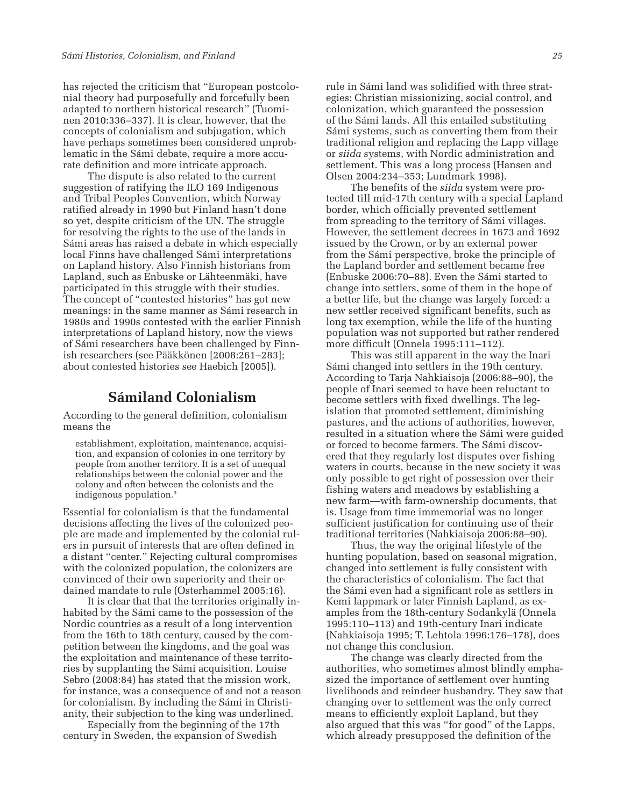has rejected the criticism that "European postcolonial theory had purposefully and forcefully been adapted to northern historical research" (Tuominen 2010:336–337). It is clear, however, that the concepts of colonialism and subjugation, which have perhaps sometimes been considered unproblematic in the Sámi debate, require a more accurate definition and more intricate approach.

The dispute is also related to the current suggestion of ratifying the ILO 169 Indigenous and Tribal Peoples Convention, which Norway ratified already in 1990 but Finland hasn't done so yet, despite criticism of the UN. The struggle for resolving the rights to the use of the lands in Sámi areas has raised a debate in which especially local Finns have challenged Sámi interpretations on Lapland history. Also Finnish historians from Lapland, such as Enbuske or Lähteenmäki, have participated in this struggle with their studies. The concept of "contested histories" has got new meanings: in the same manner as Sámi research in 1980s and 1990s contested with the earlier Finnish interpretations of Lapland history, now the views of Sámi researchers have been challenged by Finnish researchers (see Pääkkönen [2008:261–283]; about contested histories see Haebich [2005]).

# **Sámiland Colonialism**

According to the general definition, colonialism means the

establishment, exploitation, maintenance, acquisition, and expansion of colonies in one territory by people from another territory. It is a set of unequal relationships between the colonial power and the colony and often between the colonists and the indigenous population.9

Essential for colonialism is that the fundamental decisions affecting the lives of the colonized people are made and implemented by the colonial rulers in pursuit of interests that are often defined in a distant "center." Rejecting cultural compromises with the colonized population, the colonizers are convinced of their own superiority and their ordained mandate to rule (Osterhammel 2005:16).

It is clear that that the territories originally inhabited by the Sámi came to the possession of the Nordic countries as a result of a long intervention from the 16th to 18th century, caused by the competition between the kingdoms, and the goal was the exploitation and maintenance of these territories by supplanting the Sámi acquisition. Louise Sebro (2008:84) has stated that the mission work, for instance, was a consequence of and not a reason for colonialism. By including the Sámi in Christianity, their subjection to the king was underlined.

Especially from the beginning of the 17th century in Sweden, the expansion of Swedish

rule in Sámi land was solidified with three strategies: Christian missionizing, social control, and colonization, which guaranteed the possession of the Sámi lands. All this entailed substituting Sámi systems, such as converting them from their traditional religion and replacing the Lapp village or *siida* systems, with Nordic administration and settlement. This was a long process (Hansen and Olsen 2004:234–353; Lundmark 1998).

The benefits of the *siida* system were protected till mid-17th century with a special Lapland border, which officially prevented settlement from spreading to the territory of Sámi villages. However, the settlement decrees in 1673 and 1692 issued by the Crown, or by an external power from the Sámi perspective, broke the principle of the Lapland border and settlement became free (Enbuske 2006:70–88). Even the Sámi started to change into settlers, some of them in the hope of a better life, but the change was largely forced: a new settler received significant benefits, such as long tax exemption, while the life of the hunting population was not supported but rather rendered more difficult (Onnela 1995:111–112).

This was still apparent in the way the Inari Sámi changed into settlers in the 19th century. According to Tarja Nahkiaisoja (2006:88–90), the people of Inari seemed to have been reluctant to become settlers with fixed dwellings. The legislation that promoted settlement, diminishing pastures, and the actions of authorities, however, resulted in a situation where the Sámi were guided or forced to become farmers. The Sámi discovered that they regularly lost disputes over fishing waters in courts, because in the new society it was only possible to get right of possession over their fishing waters and meadows by establishing a new farm—with farm-ownership documents, that is. Usage from time immemorial was no longer sufficient justification for continuing use of their traditional territories (Nahkiaisoja 2006:88–90).

Thus, the way the original lifestyle of the hunting population, based on seasonal migration, changed into settlement is fully consistent with the characteristics of colonialism. The fact that the Sámi even had a significant role as settlers in Kemi lappmark or later Finnish Lapland, as examples from the 18th-century Sodankylä (Onnela 1995:110–113) and 19th-century Inari indicate (Nahkiaisoja 1995; T. Lehtola 1996:176–178), does not change this conclusion.

The change was clearly directed from the authorities, who sometimes almost blindly emphasized the importance of settlement over hunting livelihoods and reindeer husbandry. They saw that changing over to settlement was the only correct means to efficiently exploit Lapland, but they also argued that this was "for good" of the Lapps, which already presupposed the definition of the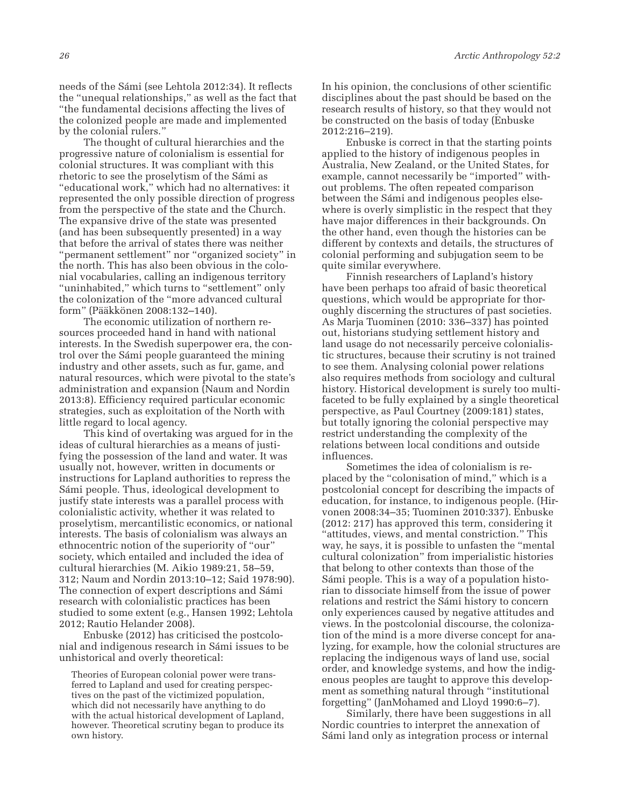needs of the Sámi (see Lehtola 2012:34). It reflects the "unequal relationships," as well as the fact that "the fundamental decisions affecting the lives of the colonized people are made and implemented by the colonial rulers."

The thought of cultural hierarchies and the progressive nature of colonialism is essential for colonial structures. It was compliant with this rhetoric to see the proselytism of the Sámi as "educational work," which had no alternatives: it represented the only possible direction of progress from the perspective of the state and the Church. The expansive drive of the state was presented (and has been subsequently presented) in a way that before the arrival of states there was neither "permanent settlement" nor "organized society" in the north. This has also been obvious in the colonial vocabularies, calling an indigenous territory "uninhabited," which turns to "settlement" only the colonization of the "more advanced cultural form" (Pääkkönen 2008:132–140).

The economic utilization of northern resources proceeded hand in hand with national interests. In the Swedish superpower era, the control over the Sámi people guaranteed the mining industry and other assets, such as fur, game, and natural resources, which were pivotal to the state's administration and expansion (Naum and Nordin 2013:8). Efficiency required particular economic strategies, such as exploitation of the North with little regard to local agency.

This kind of overtaking was argued for in the ideas of cultural hierarchies as a means of justifying the possession of the land and water. It was usually not, however, written in documents or instructions for Lapland authorities to repress the Sámi people. Thus, ideological development to justify state interests was a parallel process with colonialistic activity, whether it was related to proselytism, mercantilistic economics, or national interests. The basis of colonialism was always an ethnocentric notion of the superiority of "our" society, which entailed and included the idea of cultural hierarchies (M. Aikio 1989:21, 58–59, 312; Naum and Nordin 2013:10–12; Said 1978:90). The connection of expert descriptions and Sámi research with colonialistic practices has been studied to some extent (e.g., Hansen 1992; Lehtola 2012; Rautio Helander 2008).

Enbuske (2012) has criticised the postcolonial and indigenous research in Sámi issues to be unhistorical and overly theoretical:

Theories of European colonial power were transferred to Lapland and used for creating perspectives on the past of the victimized population, which did not necessarily have anything to do with the actual historical development of Lapland, however. Theoretical scrutiny began to produce its own history.

In his opinion, the conclusions of other scientific disciplines about the past should be based on the research results of history, so that they would not be constructed on the basis of today (Enbuske 2012:216–219).

Enbuske is correct in that the starting points applied to the history of indigenous peoples in Australia, New Zealand, or the United States, for example, cannot necessarily be "imported" without problems. The often repeated comparison between the Sámi and indigenous peoples elsewhere is overly simplistic in the respect that they have major differences in their backgrounds. On the other hand, even though the histories can be different by contexts and details, the structures of colonial performing and subjugation seem to be quite similar everywhere.

Finnish researchers of Lapland's history have been perhaps too afraid of basic theoretical questions, which would be appropriate for thoroughly discerning the structures of past societies. As Marja Tuominen (2010: 336–337) has pointed out, historians studying settlement history and land usage do not necessarily perceive colonialistic structures, because their scrutiny is not trained to see them. Analysing colonial power relations also requires methods from sociology and cultural history. Historical development is surely too multifaceted to be fully explained by a single theoretical perspective, as Paul Courtney (2009:181) states, but totally ignoring the colonial perspective may restrict understanding the complexity of the relations between local conditions and outside influences.

Sometimes the idea of colonialism is replaced by the "colonisation of mind," which is a postcolonial concept for describing the impacts of education, for instance, to indigenous people. (Hirvonen 2008:34–35; Tuominen 2010:337). Enbuske (2012: 217) has approved this term, considering it "attitudes, views, and mental constriction." This way, he says, it is possible to unfasten the "mental cultural colonization" from imperialistic histories that belong to other contexts than those of the Sámi people. This is a way of a population historian to dissociate himself from the issue of power relations and restrict the Sámi history to concern only experiences caused by negative attitudes and views. In the postcolonial discourse, the colonization of the mind is a more diverse concept for analyzing, for example, how the colonial structures are replacing the indigenous ways of land use, social order, and knowledge systems, and how the indigenous peoples are taught to approve this development as something natural through "institutional forgetting" (JanMohamed and Lloyd 1990:6–7).

Similarly, there have been suggestions in all Nordic countries to interpret the annexation of Sámi land only as integration process or internal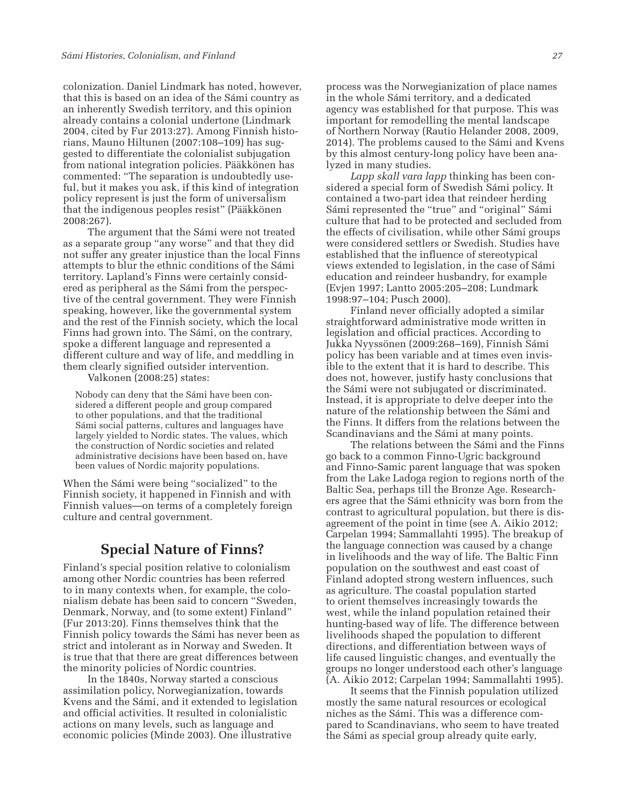colonization. Daniel Lindmark has noted, however, that this is based on an idea of the Sámi country as an inherently Swedish territory, and this opinion already contains a colonial undertone (Lindmark 2004, cited by Fur 2013:27). Among Finnish historians, Mauno Hiltunen (2007:108–109) has suggested to differentiate the colonialist subjugation from national integration policies. Pääkkönen has commented: "The separation is undoubtedly useful, but it makes you ask, if this kind of integration policy represent is just the form of universalism that the indigenous peoples resist" (Pääkkönen 2008:267).

The argument that the Sámi were not treated as a separate group "any worse" and that they did not suffer any greater injustice than the local Finns attempts to blur the ethnic conditions of the Sámi territory. Lapland's Finns were certainly considered as peripheral as the Sámi from the perspective of the central government. They were Finnish speaking, however, like the governmental system and the rest of the Finnish society, which the local Finns had grown into. The Sámi, on the contrary, spoke a different language and represented a different culture and way of life, and meddling in them clearly signified outsider intervention.

Valkonen (2008:25) states:

Nobody can deny that the Sámi have been considered a different people and group compared to other populations, and that the traditional Sámi social patterns, cultures and languages have largely yielded to Nordic states. The values, which the construction of Nordic societies and related administrative decisions have been based on, have been values of Nordic majority populations.

When the Sámi were being "socialized" to the Finnish society, it happened in Finnish and with Finnish values—on terms of a completely foreign culture and central government.

# **Special Nature of Finns?**

Finland's special position relative to colonialism among other Nordic countries has been referred to in many contexts when, for example, the colonialism debate has been said to concern "Sweden, Denmark, Norway, and (to some extent) Finland" (Fur 2013:20). Finns themselves think that the Finnish policy towards the Sámi has never been as strict and intolerant as in Norway and Sweden. It is true that that there are great differences between the minority policies of Nordic countries.

In the 1840s, Norway started a conscious assimilation policy, Norwegianization, towards Kvens and the Sámi, and it extended to legislation and official activities. It resulted in colonialistic actions on many levels, such as language and economic policies (Minde 2003). One illustrative

process was the Norwegianization of place names in the whole Sámi territory, and a dedicated agency was established for that purpose. This was important for remodelling the mental landscape of Northern Norway (Rautio Helander 2008, 2009, 2014). The problems caused to the Sámi and Kvens by this almost century-long policy have been analyzed in many studies.

*Lapp skall vara lapp* thinking has been considered a special form of Swedish Sámi policy. It contained a two-part idea that reindeer herding Sámi represented the "true" and "original" Sámi culture that had to be protected and secluded from the effects of civilisation, while other Sámi groups were considered settlers or Swedish. Studies have established that the influence of stereotypical views extended to legislation, in the case of Sámi education and reindeer husbandry, for example (Evjen 1997; Lantto 2005:205–208; Lundmark 1998:97–104; Pusch 2000).

Finland never officially adopted a similar straightforward administrative mode written in legislation and official practices. According to Jukka Nyyssönen (2009:268–169), Finnish Sámi policy has been variable and at times even invisible to the extent that it is hard to describe. This does not, however, justify hasty conclusions that the Sámi were not subjugated or discriminated. Instead, it is appropriate to delve deeper into the nature of the relationship between the Sámi and the Finns. It differs from the relations between the Scandinavians and the Sámi at many points.

The relations between the Sámi and the Finns go back to a common Finno-Ugric background and Finno-Samic parent language that was spoken from the Lake Ladoga region to regions north of the Baltic Sea, perhaps till the Bronze Age. Researchers agree that the Sámi ethnicity was born from the contrast to agricultural population, but there is disagreement of the point in time (see A. Aikio 2012; Carpelan 1994; Sammallahti 1995). The breakup of the language connection was caused by a change in livelihoods and the way of life. The Baltic Finn population on the southwest and east coast of Finland adopted strong western influences, such as agriculture. The coastal population started to orient themselves increasingly towards the west, while the inland population retained their hunting-based way of life. The difference between livelihoods shaped the population to different directions, and differentiation between ways of life caused linguistic changes, and eventually the groups no longer understood each other's language (A. Aikio 2012; Carpelan 1994; Sammallahti 1995).

It seems that the Finnish population utilized mostly the same natural resources or ecological niches as the Sámi. This was a difference compared to Scandinavians, who seem to have treated the Sámi as special group already quite early,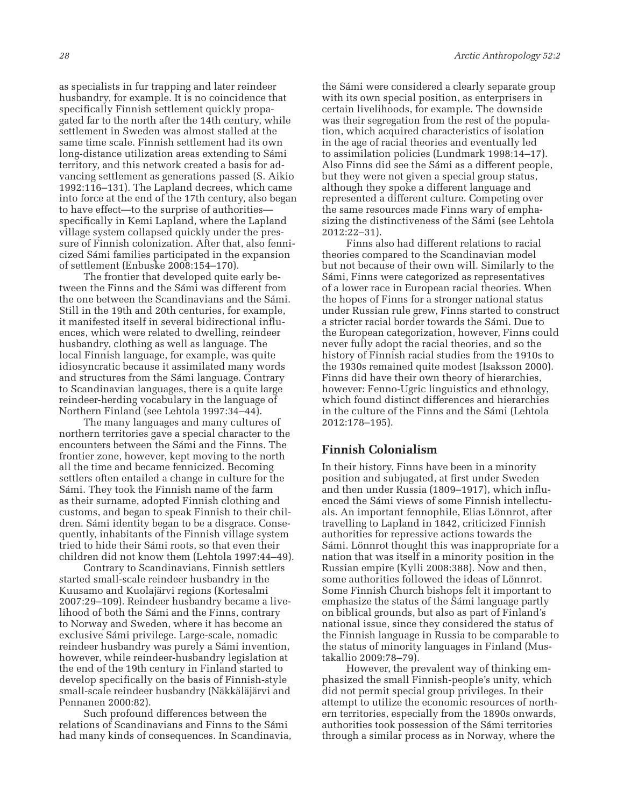as specialists in fur trapping and later reindeer husbandry, for example. It is no coincidence that specifically Finnish settlement quickly propagated far to the north after the 14th century, while settlement in Sweden was almost stalled at the same time scale. Finnish settlement had its own long-distance utilization areas extending to Sámi territory, and this network created a basis for advancing settlement as generations passed (S. Aikio 1992:116–131). The Lapland decrees, which came into force at the end of the 17th century, also began to have effect—to the surprise of authorities specifically in Kemi Lapland, where the Lapland village system collapsed quickly under the pressure of Finnish colonization. After that, also fennicized Sámi families participated in the expansion of settlement (Enbuske 2008:154–170).

The frontier that developed quite early between the Finns and the Sámi was different from the one between the Scandinavians and the Sámi. Still in the 19th and 20th centuries, for example, it manifested itself in several bidirectional influences, which were related to dwelling, reindeer husbandry, clothing as well as language. The local Finnish language, for example, was quite idiosyncratic because it assimilated many words and structures from the Sámi language. Contrary to Scandinavian languages, there is a quite large reindeer-herding vocabulary in the language of Northern Finland (see Lehtola 1997:34–44).

The many languages and many cultures of northern territories gave a special character to the encounters between the Sámi and the Finns. The frontier zone, however, kept moving to the north all the time and became fennicized. Becoming settlers often entailed a change in culture for the Sámi. They took the Finnish name of the farm as their surname, adopted Finnish clothing and customs, and began to speak Finnish to their children. Sámi identity began to be a disgrace. Consequently, inhabitants of the Finnish village system tried to hide their Sámi roots, so that even their children did not know them (Lehtola 1997:44–49).

Contrary to Scandinavians, Finnish settlers started small-scale reindeer husbandry in the Kuusamo and Kuolajärvi regions (Kortesalmi 2007:29–109). Reindeer husbandry became a livelihood of both the Sámi and the Finns, contrary to Norway and Sweden, where it has become an exclusive Sámi privilege. Large-scale, nomadic reindeer husbandry was purely a Sámi invention, however, while reindeer-husbandry legislation at the end of the 19th century in Finland started to develop specifically on the basis of Finnish-style small-scale reindeer husbandry (Näkkäläjärvi and Pennanen 2000:82).

Such profound differences between the relations of Scandinavians and Finns to the Sámi had many kinds of consequences. In Scandinavia, the Sámi were considered a clearly separate group with its own special position, as enterprisers in certain livelihoods, for example. The downside was their segregation from the rest of the population, which acquired characteristics of isolation in the age of racial theories and eventually led to assimilation policies (Lundmark 1998:14–17). Also Finns did see the Sámi as a different people, but they were not given a special group status, although they spoke a different language and represented a different culture. Competing over the same resources made Finns wary of emphasizing the distinctiveness of the Sámi (see Lehtola 2012:22–31).

Finns also had different relations to racial theories compared to the Scandinavian model but not because of their own will. Similarly to the Sámi, Finns were categorized as representatives of a lower race in European racial theories. When the hopes of Finns for a stronger national status under Russian rule grew, Finns started to construct a stricter racial border towards the Sámi. Due to the European categorization, however, Finns could never fully adopt the racial theories, and so the history of Finnish racial studies from the 1910s to the 1930s remained quite modest (Isaksson 2000). Finns did have their own theory of hierarchies, however: Fenno-Ugric linguistics and ethnology, which found distinct differences and hierarchies in the culture of the Finns and the Sámi (Lehtola 2012:178–195).

### **Finnish Colonialism**

In their history, Finns have been in a minority position and subjugated, at first under Sweden and then under Russia (1809–1917), which influenced the Sámi views of some Finnish intellectuals. An important fennophile, Elias Lönnrot, after travelling to Lapland in 1842, criticized Finnish authorities for repressive actions towards the Sámi. Lönnrot thought this was inappropriate for a nation that was itself in a minority position in the Russian empire (Kylli 2008:388). Now and then, some authorities followed the ideas of Lönnrot. Some Finnish Church bishops felt it important to emphasize the status of the Sámi language partly on biblical grounds, but also as part of Finland's national issue, since they considered the status of the Finnish language in Russia to be comparable to the status of minority languages in Finland (Mustakallio 2009:78–79).

However, the prevalent way of thinking emphasized the small Finnish-people's unity, which did not permit special group privileges. In their attempt to utilize the economic resources of northern territories, especially from the 1890s onwards, authorities took possession of the Sámi territories through a similar process as in Norway, where the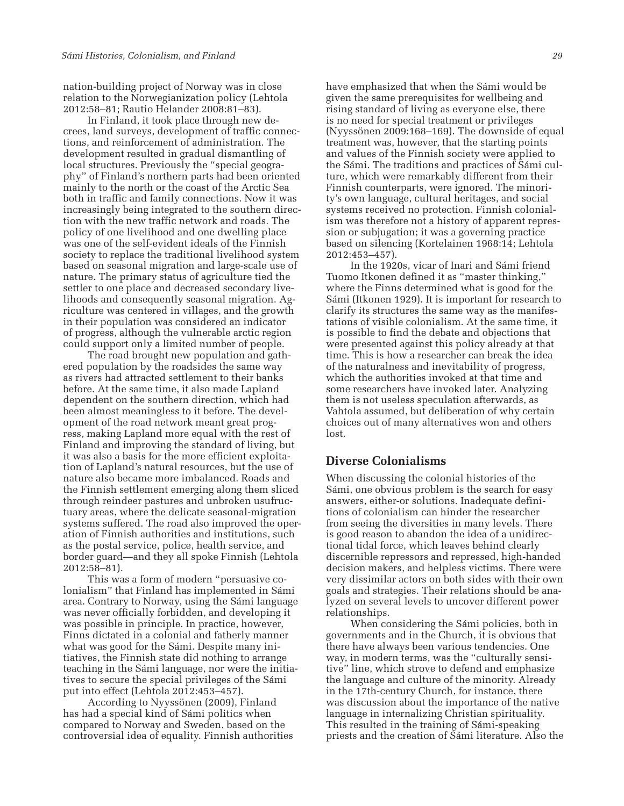nation-building project of Norway was in close relation to the Norwegianization policy (Lehtola 2012:58–81; Rautio Helander 2008:81–83).

In Finland, it took place through new decrees, land surveys, development of traffic connections, and reinforcement of administration. The development resulted in gradual dismantling of local structures. Previously the "special geography" of Finland's northern parts had been oriented mainly to the north or the coast of the Arctic Sea both in traffic and family connections. Now it was increasingly being integrated to the southern direction with the new traffic network and roads. The policy of one livelihood and one dwelling place was one of the self-evident ideals of the Finnish society to replace the traditional livelihood system based on seasonal migration and large-scale use of nature. The primary status of agriculture tied the settler to one place and decreased secondary livelihoods and consequently seasonal migration. Agriculture was centered in villages, and the growth in their population was considered an indicator of progress, although the vulnerable arctic region could support only a limited number of people.

The road brought new population and gathered population by the roadsides the same way as rivers had attracted settlement to their banks before. At the same time, it also made Lapland dependent on the southern direction, which had been almost meaningless to it before. The development of the road network meant great progress, making Lapland more equal with the rest of Finland and improving the standard of living, but it was also a basis for the more efficient exploitation of Lapland's natural resources, but the use of nature also became more imbalanced. Roads and the Finnish settlement emerging along them sliced through reindeer pastures and unbroken usufructuary areas, where the delicate seasonal-migration systems suffered. The road also improved the operation of Finnish authorities and institutions, such as the postal service, police, health service, and border guard—and they all spoke Finnish (Lehtola 2012:58–81).

This was a form of modern "persuasive colonialism" that Finland has implemented in Sámi area. Contrary to Norway, using the Sámi language was never officially forbidden, and developing it was possible in principle. In practice, however, Finns dictated in a colonial and fatherly manner what was good for the Sámi. Despite many initiatives, the Finnish state did nothing to arrange teaching in the Sámi language, nor were the initiatives to secure the special privileges of the Sámi put into effect (Lehtola 2012:453–457).

According to Nyyssönen (2009), Finland has had a special kind of Sámi politics when compared to Norway and Sweden, based on the controversial idea of equality. Finnish authorities have emphasized that when the Sámi would be given the same prerequisites for wellbeing and rising standard of living as everyone else, there is no need for special treatment or privileges (Nyyssönen 2009:168–169). The downside of equal treatment was, however, that the starting points and values of the Finnish society were applied to the Sámi. The traditions and practices of Sámi culture, which were remarkably different from their Finnish counterparts, were ignored. The minority's own language, cultural heritages, and social systems received no protection. Finnish colonialism was therefore not a history of apparent repression or subjugation; it was a governing practice based on silencing (Kortelainen 1968:14; Lehtola 2012:453–457).

In the 1920s, vicar of Inari and Sámi friend Tuomo Itkonen defined it as "master thinking," where the Finns determined what is good for the Sámi (Itkonen 1929). It is important for research to clarify its structures the same way as the manifestations of visible colonialism. At the same time, it is possible to find the debate and objections that were presented against this policy already at that time. This is how a researcher can break the idea of the naturalness and inevitability of progress, which the authorities invoked at that time and some researchers have invoked later. Analyzing them is not useless speculation afterwards, as Vahtola assumed, but deliberation of why certain choices out of many alternatives won and others lost.

### **Diverse Colonialisms**

When discussing the colonial histories of the Sámi, one obvious problem is the search for easy answers, either-or solutions. Inadequate definitions of colonialism can hinder the researcher from seeing the diversities in many levels. There is good reason to abandon the idea of a unidirectional tidal force, which leaves behind clearly discernible repressors and repressed, high-handed decision makers, and helpless victims. There were very dissimilar actors on both sides with their own goals and strategies. Their relations should be analyzed on several levels to uncover different power relationships.

When considering the Sámi policies, both in governments and in the Church, it is obvious that there have always been various tendencies. One way, in modern terms, was the "culturally sensitive" line, which strove to defend and emphasize the language and culture of the minority. Already in the 17th-century Church, for instance, there was discussion about the importance of the native language in internalizing Christian spirituality. This resulted in the training of Sámi-speaking priests and the creation of Sámi literature. Also the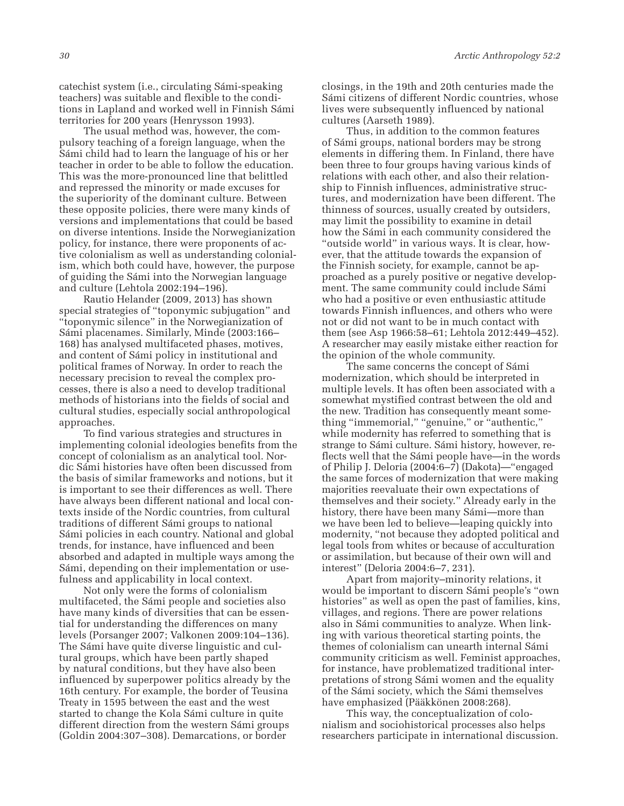catechist system (i.e., circulating Sámi-speaking teachers) was suitable and flexible to the conditions in Lapland and worked well in Finnish Sámi territories for 200 years (Henrysson 1993).

The usual method was, however, the compulsory teaching of a foreign language, when the Sámi child had to learn the language of his or her teacher in order to be able to follow the education. This was the more-pronounced line that belittled and repressed the minority or made excuses for the superiority of the dominant culture. Between these opposite policies, there were many kinds of versions and implementations that could be based on diverse intentions. Inside the Norwegianization policy, for instance, there were proponents of active colonialism as well as understanding colonialism, which both could have, however, the purpose of guiding the Sámi into the Norwegian language and culture (Lehtola 2002:194–196).

Rautio Helander (2009, 2013) has shown special strategies of "toponymic subjugation" and "toponymic silence" in the Norwegianization of Sámi placenames. Similarly, Minde (2003:166– 168) has analysed multifaceted phases, motives, and content of Sámi policy in institutional and political frames of Norway. In order to reach the necessary precision to reveal the complex processes, there is also a need to develop traditional methods of historians into the fields of social and cultural studies, especially social anthropological approaches.

To find various strategies and structures in implementing colonial ideologies benefits from the concept of colonialism as an analytical tool. Nordic Sámi histories have often been discussed from the basis of similar frameworks and notions, but it is important to see their differences as well. There have always been different national and local contexts inside of the Nordic countries, from cultural traditions of different Sámi groups to national Sámi policies in each country. National and global trends, for instance, have influenced and been absorbed and adapted in multiple ways among the Sámi, depending on their implementation or usefulness and applicability in local context.

Not only were the forms of colonialism multifaceted, the Sámi people and societies also have many kinds of diversities that can be essential for understanding the differences on many levels (Porsanger 2007; Valkonen 2009:104–136). The Sámi have quite diverse linguistic and cultural groups, which have been partly shaped by natural conditions, but they have also been influenced by superpower politics already by the 16th century. For example, the border of Teusina Treaty in 1595 between the east and the west started to change the Kola Sámi culture in quite different direction from the western Sámi groups (Goldin 2004:307–308). Demarcations, or border

closings, in the 19th and 20th centuries made the Sámi citizens of different Nordic countries, whose lives were subsequently influenced by national cultures (Aarseth 1989).

Thus, in addition to the common features of Sámi groups, national borders may be strong elements in differing them. In Finland, there have been three to four groups having various kinds of relations with each other, and also their relationship to Finnish influences, administrative structures, and modernization have been different. The thinness of sources, usually created by outsiders, may limit the possibility to examine in detail how the Sámi in each community considered the "outside world" in various ways. It is clear, however, that the attitude towards the expansion of the Finnish society, for example, cannot be approached as a purely positive or negative development. The same community could include Sámi who had a positive or even enthusiastic attitude towards Finnish influences, and others who were not or did not want to be in much contact with them (see Asp 1966:58–61; Lehtola 2012:449–452). A researcher may easily mistake either reaction for the opinion of the whole community.

The same concerns the concept of Sámi modernization, which should be interpreted in multiple levels. It has often been associated with a somewhat mystified contrast between the old and the new. Tradition has consequently meant something "immemorial," "genuine," or "authentic," while modernity has referred to something that is strange to Sámi culture. Sámi history, however, reflects well that the Sámi people have—in the words of Philip J. Deloria (2004:6–7) (Dakota)—"engaged the same forces of modernization that were making majorities reevaluate their own expectations of themselves and their society." Already early in the history, there have been many Sámi—more than we have been led to believe—leaping quickly into modernity, "not because they adopted political and legal tools from whites or because of acculturation or assimilation, but because of their own will and interest" (Deloria 2004:6–7, 231).

Apart from majority–minority relations, it would be important to discern Sámi people's "own histories" as well as open the past of families, kins, villages, and regions. There are power relations also in Sámi communities to analyze. When linking with various theoretical starting points, the themes of colonialism can unearth internal Sámi community criticism as well. Feminist approaches, for instance, have problematized traditional interpretations of strong Sámi women and the equality of the Sámi society, which the Sámi themselves have emphasized (Pääkkönen 2008:268).

This way, the conceptualization of colonialism and sociohistorical processes also helps researchers participate in international discussion.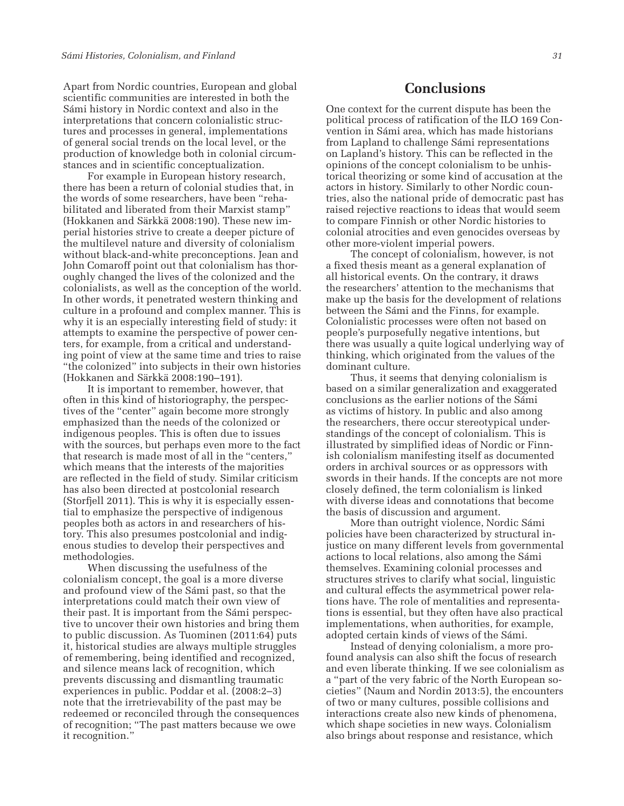Apart from Nordic countries, European and global scientific communities are interested in both the Sámi history in Nordic context and also in the interpretations that concern colonialistic structures and processes in general, implementations of general social trends on the local level, or the production of knowledge both in colonial circumstances and in scientific conceptualization.

For example in European history research, there has been a return of colonial studies that, in the words of some researchers, have been "rehabilitated and liberated from their Marxist stamp" (Hokkanen and Särkkä 2008:190). These new imperial histories strive to create a deeper picture of the multilevel nature and diversity of colonialism without black-and-white preconceptions. Jean and John Comaroff point out that colonialism has thoroughly changed the lives of the colonized and the colonialists, as well as the conception of the world. In other words, it penetrated western thinking and culture in a profound and complex manner. This is why it is an especially interesting field of study: it attempts to examine the perspective of power centers, for example, from a critical and understanding point of view at the same time and tries to raise "the colonized" into subjects in their own histories (Hokkanen and Särkkä 2008:190–191).

It is important to remember, however, that often in this kind of historiography, the perspectives of the "center" again become more strongly emphasized than the needs of the colonized or indigenous peoples. This is often due to issues with the sources, but perhaps even more to the fact that research is made most of all in the "centers," which means that the interests of the majorities are reflected in the field of study. Similar criticism has also been directed at postcolonial research (Storfjell 2011). This is why it is especially essential to emphasize the perspective of indigenous peoples both as actors in and researchers of history. This also presumes postcolonial and indigenous studies to develop their perspectives and methodologies.

When discussing the usefulness of the colonialism concept, the goal is a more diverse and profound view of the Sámi past, so that the interpretations could match their own view of their past. It is important from the Sámi perspective to uncover their own histories and bring them to public discussion. As Tuominen (2011:64) puts it, historical studies are always multiple struggles of remembering, being identified and recognized, and silence means lack of recognition, which prevents discussing and dismantling traumatic experiences in public. Poddar et al. (2008:2–3) note that the irretrievability of the past may be redeemed or reconciled through the consequences of recognition; "The past matters because we owe it recognition."

# **Conclusions**

One context for the current dispute has been the political process of ratification of the ILO 169 Convention in Sámi area, which has made historians from Lapland to challenge Sámi representations on Lapland's history. This can be reflected in the opinions of the concept colonialism to be unhistorical theorizing or some kind of accusation at the actors in history. Similarly to other Nordic countries, also the national pride of democratic past has raised rejective reactions to ideas that would seem to compare Finnish or other Nordic histories to colonial atrocities and even genocides overseas by other more-violent imperial powers.

The concept of colonialism, however, is not a fixed thesis meant as a general explanation of all historical events. On the contrary, it draws the researchers' attention to the mechanisms that make up the basis for the development of relations between the Sámi and the Finns, for example. Colonialistic processes were often not based on people's purposefully negative intentions, but there was usually a quite logical underlying way of thinking, which originated from the values of the dominant culture.

Thus, it seems that denying colonialism is based on a similar generalization and exaggerated conclusions as the earlier notions of the Sámi as victims of history. In public and also among the researchers, there occur stereotypical understandings of the concept of colonialism. This is illustrated by simplified ideas of Nordic or Finnish colonialism manifesting itself as documented orders in archival sources or as oppressors with swords in their hands. If the concepts are not more closely defined, the term colonialism is linked with diverse ideas and connotations that become the basis of discussion and argument.

More than outright violence, Nordic Sámi policies have been characterized by structural injustice on many different levels from governmental actions to local relations, also among the Sámi themselves. Examining colonial processes and structures strives to clarify what social, linguistic and cultural effects the asymmetrical power relations have. The role of mentalities and representations is essential, but they often have also practical implementations, when authorities, for example, adopted certain kinds of views of the Sámi.

Instead of denying colonialism, a more profound analysis can also shift the focus of research and even liberate thinking. If we see colonialism as a "part of the very fabric of the North European societies" (Naum and Nordin 2013:5), the encounters of two or many cultures, possible collisions and interactions create also new kinds of phenomena, which shape societies in new ways. Colonialism also brings about response and resistance, which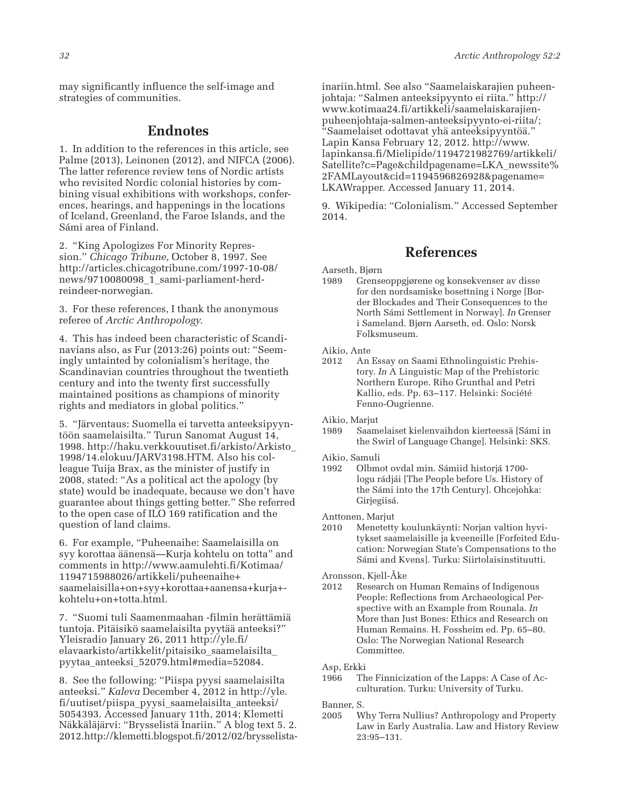may significantly influence the self-image and strategies of communities.

### **Endnotes**

1. In addition to the references in this article, see Palme (2013), Leinonen (2012), and NIFCA (2006). The latter reference review tens of Nordic artists who revisited Nordic colonial histories by combining visual exhibitions with workshops, conferences, hearings, and happenings in the locations of Iceland, Greenland, the Faroe Islands, and the Sámi area of Finland.

2. "King Apologizes For Minority Repression." *Chicago Tribune,* October 8, 1997. See http://articles.chicagotribune.com/1997-10-08/ news/9710080098\_1\_sami-parliament-herdreindeer-norwegian.

3. For these references, I thank the anonymous referee of *Arctic Anthropology.*

4. This has indeed been characteristic of Scandinavians also, as Fur (2013:26) points out: "Seemingly untainted by colonialism's heritage, the Scandinavian countries throughout the twentieth century and into the twenty first successfully maintained positions as champions of minority rights and mediators in global politics."

5. "Järventaus: Suomella ei tarvetta anteeksipyyntöön saamelaisilta." Turun Sanomat August 14, 1998. http://haku.verkkouutiset.fi/arkisto/Arkisto\_ 1998/14.elokuu/JARV3198.HTM. Also his colleague Tuija Brax, as the minister of justify in 2008, stated: "As a political act the apology (by state) would be inadequate, because we don't have guarantee about things getting better." She referred to the open case of ILO 169 ratification and the question of land claims.

6. For example, "Puheenaihe: Saamelaisilla on syy korottaa äänensä—Kurja kohtelu on totta" and comments in http://www.aamulehti.fi/Kotimaa/ 1194715988026/artikkeli/puheenaihe+ saamelaisilla+on+syy+korottaa+aanensa+kurja+ kohtelu+on+totta.html.

7. "Suomi tuli Saamenmaahan -filmin herättämiä tuntoja. Pitäisikö saamelaisilta pyytää anteeksi?" Yleisradio January 26, 2011 http://yle.fi/ elavaarkisto/artikkelit/pitaisiko\_saamelaisilta\_ pyytaa\_anteeksi\_52079.html#media=52084.

8. See the following: "Piispa pyysi saamelaisilta anteeksi." *Kaleva* December 4, 2012 in http://yle. fi/uutiset/piispa\_pyysi\_saamelaisilta\_anteeksi/ 5054393. Accessed January 11th, 2014; Klemetti Näkkäläjärvi: "Brysselistä Inariin." A blog text 5. 2. 2012. http://klemetti.blogspot.fi/2012/02/brysselistainariin.html. See also "Saamelaiskarajien puheenjohtaja: "Salmen anteeksipyynto ei riita." http:// www.kotimaa24.fi/artikkeli/saamelaiskarajienpuheenjohtaja-salmen-anteeksipyynto-ei-riita/; "Saamelaiset odottavat yhä anteeksipyyntöä." Lapin Kansa February 12, 2012. http://www. lapinkansa.fi/Mielipide/1194721982769/artikkeli/ Satellite?c=Page&childpagename=LKA\_newssite% 2FAMLayout&cid=1194596826928&pagename= LKAWrapper. Accessed January 11, 2014.

9. Wikipedia: "Colonialism." Accessed September 2014.

## **References**

Aarseth, Bjørn

- 1989 Grenseoppgjørene og konsekvenser av disse for den nordsamiske bosettning i Norge [Border Blockades and Their Consequences to the North Sámi Settlement in Norway]. *In* Grenser i Sameland. Bjørn Aarseth, ed. Oslo: Norsk Folksmuseum.
- Aikio, Ante
- 2012 An Essay on Saami Ethnolinguistic Prehistory. *In* A Linguistic Map of the Prehistoric Northern Europe. Riho Grunthal and Petri Kallio, eds. Pp. 63–117. Helsinki: Société Fenno-Ougrienne.

Aikio, Marjut

- 1989 Saamelaiset kielenvaihdon kierteessä [Sámi in the Swirl of Language Change]. Helsinki: SKS.
- Aikio, Samuli
- 1992 Olbmot ovdal min. Sámiid historjá 1700 logu rádjái [The People before Us. History of the Sámi into the 17th Century]. Ohcejohka: Girjegiisá.
- Anttonen, Marjut
- 2010 Menetetty koulunkäynti: Norjan valtion hyvitykset saamelaisille ja kveeneille [Forfeited Education: Norwegian State's Compensations to the Sámi and Kvens]. Turku: Siirtolaisinstituutti.

Aronsson, Kjell-Åke

2012 Research on Human Remains of Indigenous People: Reflections from Archaeological Perspective with an Example from Rounala. *In* More than Just Bones: Ethics and Research on Human Remains. H. Fossheim ed. Pp. 65–80. Oslo: The Norwegian National Research Committee.

Asp, Erkki

1966 The Finnicization of the Lapps: A Case of Acculturation. Turku: University of Turku.

Banner, S.

2005 Why Terra Nullius? Anthropology and Property Law in Early Australia. Law and History Review 23:95–131.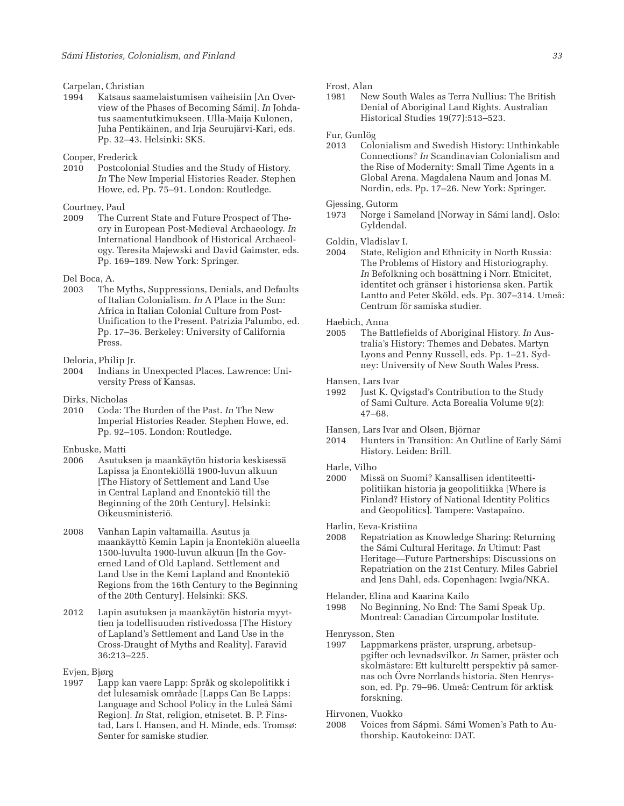#### Carpelan, Christian

1994 Katsaus saamelaistumisen vaiheisiin [An Overview of the Phases of Becoming Sámi]. *In* Johdatus saamentutkimukseen. Ulla-Maija Kulonen, Juha Pentikäinen, and Irja Seurujärvi-Kari, eds. Pp. 32–43. Helsinki: SKS.

#### Cooper, Frederick

2010 Postcolonial Studies and the Study of History. *In* The New Imperial Histories Reader. Stephen Howe, ed. Pp. 75–91. London: Routledge.

#### Courtney, Paul

2009 The Current State and Future Prospect of Theory in European Post-Medieval Archaeology. *In* International Handbook of Historical Archaeology. Teresita Majewski and David Gaimster, eds. Pp. 169–189. New York: Springer.

#### Del Boca, A.

2003 The Myths, Suppressions, Denials, and Defaults of Italian Colonialism. *In* A Place in the Sun: Africa in Italian Colonial Culture from Post-Unification to the Present. Patrizia Palumbo, ed. Pp. 17–36. Berkeley: University of California Press.

#### Deloria, Philip Jr.

- 2004 Indians in Unexpected Places. Lawrence: University Press of Kansas.
- Dirks, Nicholas
- 2010 Coda: The Burden of the Past. *In* The New Imperial Histories Reader. Stephen Howe, ed. Pp. 92–105. London: Routledge.

#### Enbuske, Matti

- 2006 Asutuksen ja maankäytön historia keskisessä Lapissa ja Enontekiöllä 1900-luvun alkuun [The History of Settlement and Land Use in Central Lapland and Enontekiö till the Beginning of the 20th Century]. Helsinki: Oikeusministeriö.
- 2008 Vanhan Lapin valtamailla. Asutus ja maankäyttö Kemin Lapin ja Enontekiön alueella 1500-luvulta 1900-luvun alkuun [In the Governed Land of Old Lapland. Settlement and Land Use in the Kemi Lapland and Enontekiö Regions from the 16th Century to the Beginning of the 20th Century]. Helsinki: SKS.
- 2012 Lapin asutuksen ja maankäytön historia myyttien ja todellisuuden ristivedossa [The History of Lapland's Settlement and Land Use in the Cross-Draught of Myths and Reality]. Faravid 36:213–225.
- Evjen, Bjørg
- 1997 Lapp kan vaere Lapp: Språk og skolepolitikk i det lulesamisk områade [Lapps Can Be Lapps: Language and School Policy in the Luleå Sámi Region]. *In* Stat, religion, etnisetet. B. P. Finstad, Lars I. Hansen, and H. Minde, eds. Tromsø: Senter for samiske studier.

#### Frost, Alan

- 1981 New South Wales as Terra Nullius: The British Denial of Aboriginal Land Rights. Australian Historical Studies 19(77):513–523.
- Fur, Gunlög
- 2013 Colonialism and Swedish History: Unthinkable Connections? *In* Scandinavian Colonialism and the Rise of Modernity: Small Time Agents in a Global Arena. Magdalena Naum and Jonas M. Nordin, eds. Pp. 17–26. New York: Springer.
- Gjessing, Gutorm
- 1973 Norge i Sameland [Norway in Sámi land]. Oslo: Gyldendal.
- Goldin, Vladislav I.
- 2004 State, Religion and Ethnicity in North Russia: The Problems of History and Historiography. *In* Befolkning och bosättning i Norr. Etnicitet, identitet och gränser i historiensa sken. Partik Lantto and Peter Sköld, eds. Pp. 307–314. Umeå: Centrum för samiska studier.
- Haebich, Anna
- 2005 The Battlefields of Aboriginal History. *In* Australia's History: Themes and Debates. Martyn Lyons and Penny Russell, eds. Pp. 1–21. Sydney: University of New South Wales Press.

Hansen, Lars Ivar

1992 Just K. Qvigstad's Contribution to the Study of Sami Culture. Acta Borealia Volume 9(2): 47–68.

Hansen, Lars Ivar and Olsen, Björnar

- 2014 Hunters in Transition: An Outline of Early Sámi History. Leiden: Brill.
- Harle, Vilho
- 2000 Missä on Suomi? Kansallisen identiteettipolitiikan historia ja geopolitiikka [Where is Finland? History of National Identity Politics and Geopolitics]. Tampere: Vastapaino.
- Harlin, Eeva-Kristiina
- 2008 Repatriation as Knowledge Sharing: Returning the Sámi Cultural Heritage. *In* Utimut: Past Heritage—Future Partnerships: Discussions on Repatriation on the 21st Century. Miles Gabriel and Jens Dahl, eds. Copenhagen: Iwgia/NKA.

Helander, Elina and Kaarina Kailo

1998 No Beginning, No End: The Sami Speak Up. Montreal: Canadian Circumpolar Institute.

Henrysson, Sten

1997 Lappmarkens präster, ursprung, arbetsuppgifter och levnadsvilkor. *In* Samer, präster och skolmästare: Ett kultureltt perspektiv på samernas och Övre Norrlands historia. Sten Henrysson, ed. Pp. 79–96. Umeå: Centrum för arktisk forskning.

Hirvonen, Vuokko

2008 Voices from Sápmi. Sámi Women's Path to Authorship. Kautokeino: DAT.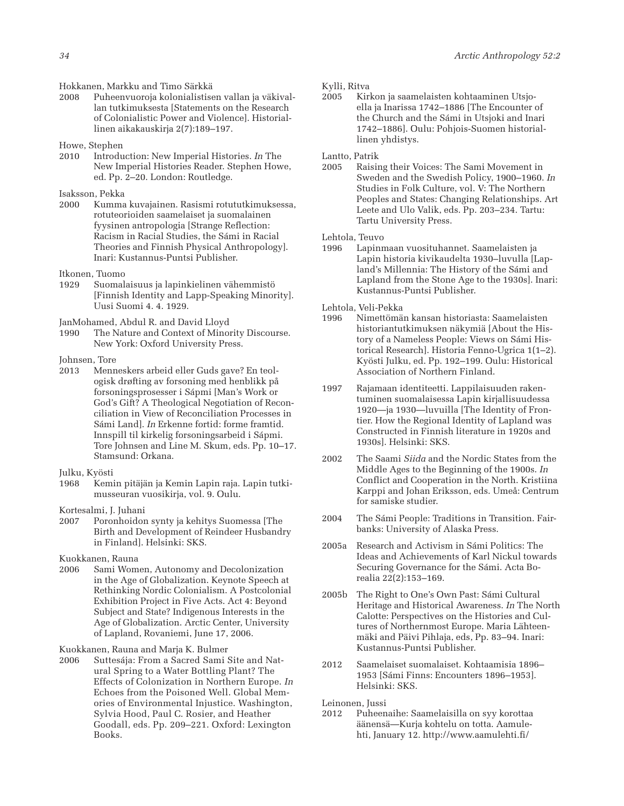Hokkanen, Markku and Timo Särkkä

2008 Puheenvuoroja kolonialistisen vallan ja väkivallan tutkimuksesta [Statements on the Research of Colonialistic Power and Violence]. Historiallinen aikakauskirja 2(7):189–197.

Howe, Stephen

2010 Introduction: New Imperial Histories. *In* The New Imperial Histories Reader. Stephen Howe, ed. Pp. 2–20. London: Routledge.

Isaksson, Pekka

2000 Kumma kuvajainen. Rasismi rotututkimuksessa, rotuteorioiden saamelaiset ja suomalainen fyysinen antropologia [Strange Reflection: Racism in Racial Studies, the Sámi in Racial Theories and Finnish Physical Anthropology]. Inari: Kustannus-Puntsi Publisher.

Itkonen, Tuomo

1929 Suomalaisuus ja lapinkielinen vähemmistö [Finnish Identity and Lapp-Speaking Minority]. Uusi Suomi 4. 4. 1929.

JanMohamed, Abdul R. and David Lloyd

1990 The Nature and Context of Minority Discourse. New York: Oxford University Press.

Johnsen, Tore

- 2013 Menneskers arbeid eller Guds gave? En teologisk drøfting av forsoning med henblikk på forsoningsprosesser i Sápmi [Man's Work or God's Gift? A Theological Negotiation of Reconciliation in View of Reconciliation Processes in Sámi Land]. *In* Erkenne fortid: forme framtid. Innspill til kirkelig forsoningsarbeid i Sápmi. Tore Johnsen and Line M. Skum, eds. Pp. 10–17. Stamsund: Orkana.
- Julku, Kyösti
- 1968 Kemin pitäjän ja Kemin Lapin raja. Lapin tutkimusseuran vuosikirja, vol. 9. Oulu.

Kortesalmi, J. Juhani

2007 Poronhoidon synty ja kehitys Suomessa [The Birth and Development of Reindeer Husbandry in Finland]. Helsinki: SKS.

Kuokkanen, Rauna

2006 Sami Women, Autonomy and Decolonization in the Age of Globalization. Keynote Speech at Rethinking Nordic Colonialism. A Postcolonial Exhibition Project in Five Acts. Act 4: Beyond Subject and State? Indigenous Interests in the Age of Globalization. Arctic Center, University of Lapland, Rovaniemi, June 17, 2006.

Kuokkanen, Rauna and Marja K. Bulmer

2006 Suttesája: From a Sacred Sami Site and Natural Spring to a Water Bottling Plant? The Effects of Colonization in Northern Europe. *In* Echoes from the Poisoned Well. Global Memories of Environmental Injustice. Washington, Sylvia Hood, Paul C. Rosier, and Heather Goodall, eds. Pp. 209–221. Oxford: Lexington Books.

Kylli, Ritva

2005 Kirkon ja saamelaisten kohtaaminen Utsjoella ja Inarissa 1742–1886 [The Encounter of the Church and the Sámi in Utsjoki and Inari 1742–1886]. Oulu: Pohjois-Suomen historiallinen yhdistys.

Lantto, Patrik

2005 Raising their Voices: The Sami Movement in Sweden and the Swedish Policy, 1900–1960. *In* Studies in Folk Culture, vol. V: The Northern Peoples and States: Changing Relationships. Art Leete and Ulo Valik, eds. Pp. 203–234. Tartu: Tartu University Press.

Lehtola, Teuvo

1996 Lapinmaan vuosituhannet. Saamelaisten ja Lapin historia kivikaudelta 1930–luvulla [Lapland's Millennia: The History of the Sámi and Lapland from the Stone Age to the 1930s]. Inari: Kustannus-Puntsi Publisher.

Lehtola, Veli-Pekka

- 1996 Nimettömän kansan historiasta: Saamelaisten historiantutkimuksen näkymiä [About the History of a Nameless People: Views on Sámi Historical Research]. Historia Fenno-Ugrica 1(1–2). Kyösti Julku, ed. Pp. 192–199. Oulu: Historical Association of Northern Finland.
- 1997 Rajamaan identiteetti. Lappilaisuuden rakentuminen suomalaisessa Lapin kirjallisuudessa 1920—ja 1930—luvuilla [The Identity of Frontier. How the Regional Identity of Lapland was Constructed in Finnish literature in 1920s and 1930s]. Helsinki: SKS.
- 2002 The Saami *Siida* and the Nordic States from the Middle Ages to the Beginning of the 1900s. *In* Conflict and Cooperation in the North. Kristiina Karppi and Johan Eriksson, eds. Umeå: Centrum for samiske studier.
- 2004 The Sámi People: Traditions in Transition. Fairbanks: University of Alaska Press.
- 2005a Research and Activism in Sámi Politics: The Ideas and Achievements of Karl Nickul towards Securing Governance for the Sámi. Acta Borealia 22(2):153–169.
- 2005b The Right to One's Own Past: Sámi Cultural Heritage and Historical Awareness. *In* The North Calotte: Perspectives on the Histories and Cultures of Northernmost Europe. Maria Lähteenmäki and Päivi Pihlaja, eds, Pp. 83–94. Inari: Kustannus-Puntsi Publisher.
- 2012 Saamelaiset suomalaiset. Kohtaamisia 1896– 1953 [Sámi Finns: Encounters 1896–1953]. Helsinki: SKS.

Leinonen, Jussi

2012 Puheenaihe: Saamelaisilla on syy korottaa äänensä—Kurja kohtelu on totta. Aamulehti, January 12. http://www.aamulehti.fi/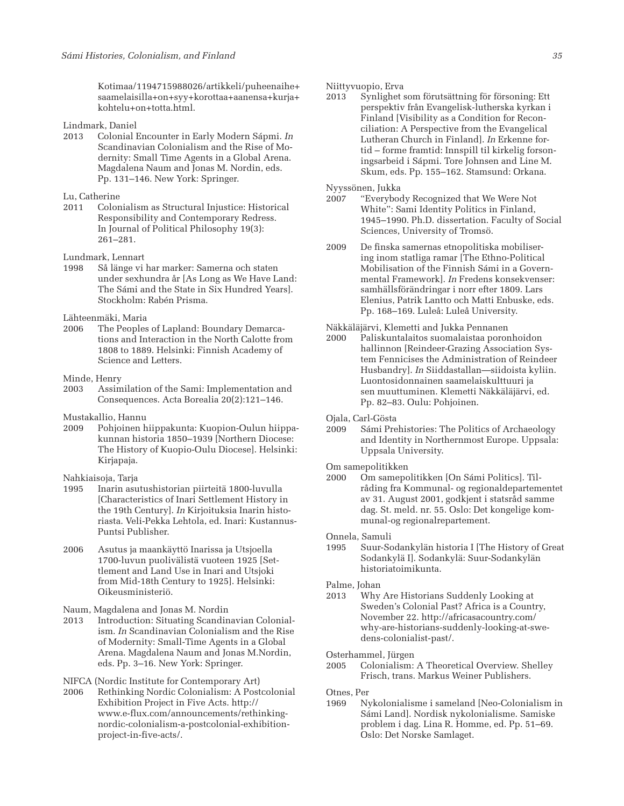Kotimaa/1194715988026/artikkeli/puheenaihe+ saamelaisilla+on+syy+korottaa+aanensa+kurja+ kohtelu+on+totta.html.

#### Lindmark, Daniel

2013 Colonial Encounter in Early Modern Sápmi. *In* Scandinavian Colonialism and the Rise of Modernity: Small Time Agents in a Global Arena. Magdalena Naum and Jonas M. Nordin, eds. Pp. 131–146. New York: Springer.

#### Lu, Catherine

2011 Colonialism as Structural Injustice: Historical Responsibility and Contemporary Redress. In Journal of Political Philosophy 19(3): 261–281.

#### Lundmark, Lennart

1998 Så länge vi har marker: Samerna och staten under sexhundra år [As Long as We Have Land: The Sámi and the State in Six Hundred Years]. Stockholm: Rabén Prisma.

#### Lähteenmäki, Maria

2006 The Peoples of Lapland: Boundary Demarcations and Interaction in the North Calotte from 1808 to 1889. Helsinki: Finnish Academy of Science and Letters.

#### Minde, Henry

2003 Assimilation of the Sami: Implementation and Consequences. Acta Borealia 20(2):121–146.

Mustakallio, Hannu

2009 Pohjoinen hiippakunta: Kuopion-Oulun hiippakunnan historia 1850–1939 [Northern Diocese: The History of Kuopio-Oulu Diocese]. Helsinki: Kirjapaja.

#### Nahkiaisoja, Tarja

- 1995 Inarin asutushistorian piirteitä 1800-luvulla [Characteristics of Inari Settlement History in the 19th Century]. *In* Kirjoituksia Inarin historiasta. Veli-Pekka Lehtola, ed. Inari: Kustannus-Puntsi Publisher.
- 2006 Asutus ja maankäyttö Inarissa ja Utsjoella 1700-luvun puolivälistä vuoteen 1925 [Settlement and Land Use in Inari and Utsjoki from Mid-18th Century to 1925]. Helsinki: Oikeusministeriö.

Naum, Magdalena and Jonas M. Nordin

2013 Introduction: Situating Scandinavian Colonialism. *In* Scandinavian Colonialism and the Rise of Modernity: Small-Time Agents in a Global Arena. Magdalena Naum and Jonas M.Nordin, eds. Pp. 3–16. New York: Springer.

NIFCA (Nordic Institute for Contemporary Art)

2006 Rethinking Nordic Colonialism: A Postcolonial Exhibition Project in Five Acts. http:// www.e-flux.com/announcements/rethinkingnordic-colonialism-a-postcolonial-exhibitionproject-in-five-acts/.

Niittyvuopio, Erva

2013 Synlighet som förutsättning för försoning: Ett perspektiv från Evangelisk-lutherska kyrkan i Finland [Visibility as a Condition for Reconciliation: A Perspective from the Evangelical Lutheran Church in Finland]. *In* Erkenne fortid – forme framtid: Innspill til kirkelig forsoningsarbeid i Sápmi. Tore Johnsen and Line M. Skum, eds. Pp. 155–162. Stamsund: Orkana.

Nyyssönen, Jukka

- 2007 "Everybody Recognized that We Were Not White": Sami Identity Politics in Finland, 1945–1990. Ph.D. dissertation. Faculty of Social Sciences, University of Tromsö.
- 2009 De finska samernas etnopolitiska mobilisering inom statliga ramar [The Ethno-Political Mobilisation of the Finnish Sámi in a Governmental Framework]. *In* Fredens konsekvenser: samhällsförändringar i norr efter 1809. Lars Elenius, Patrik Lantto och Matti Enbuske, eds. Pp. 168–169. Luleå: Luleå University.

#### Näkkäläjärvi, Klemetti and Jukka Pennanen

2000 Paliskuntalaitos suomalaistaa poronhoidon hallinnon [Reindeer-Grazing Association System Fennicises the Administration of Reindeer Husbandry]. *In* Siiddastallan—siidoista kyliin. Luontosidonnainen saamelaiskulttuuri ja sen muuttuminen. Klemetti Näkkäläjärvi, ed. Pp. 82–83. Oulu: Pohjoinen.

Ojala, Carl-Gösta

- 2009 Sámi Prehistories: The Politics of Archaeology and Identity in Northernmost Europe. Uppsala: Uppsala University.
- Om samepolitikken
- 2000 Om samepolitikken [On Sámi Politics]. Tilråding fra Kommunal- og regionaldepartementet av 31. August 2001, godkjent i statsråd samme dag. St. meld. nr. 55. Oslo: Det kongelige kommunal-og regionalrepartement.
- Onnela, Samuli
- 1995 Suur-Sodankylän historia I [The History of Great Sodankylä I]. Sodankylä: Suur-Sodankylän historiatoimikunta.

#### Palme, Johan

2013 Why Are Historians Suddenly Looking at Sweden's Colonial Past? Africa is a Country, November 22. http://africasacountry.com/ why-are-historians-suddenly-looking-at-swedens-colonialist-past/.

Osterhammel, Jürgen

2005 Colonialism: A Theoretical Overview. Shelley Frisch, trans. Markus Weiner Publishers.

Otnes, Per

1969 Nykolonialisme i sameland [Neo-Colonialism in Sámi Land]. Nordisk nykolonialisme. Samiske problem i dag. Lina R. Homme, ed. Pp. 51–69. Oslo: Det Norske Samlaget.